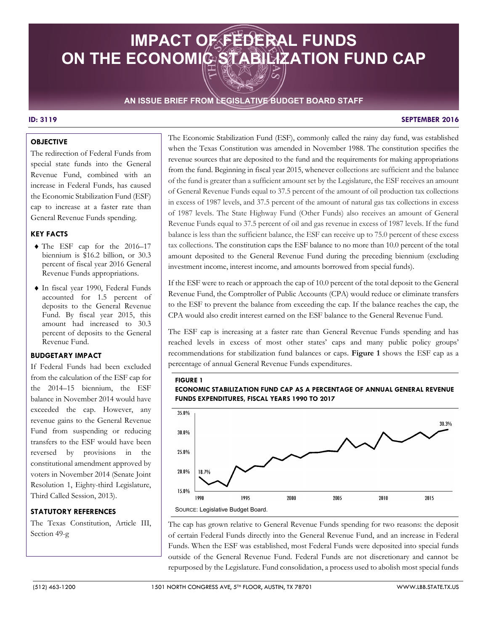# **IMPACT OF FEDERAL FUNDS ON THE ECONOMIC STABILIZATION FUND CAP**

# **AN ISSUE BRIEF FROM LEGISLATIVE BUDGET BOARD STAFF**

#### **ID: 3119 SEPTEMBER 2016**

# **OBJECTIVE**

The redirection of Federal Funds from special state funds into the General Revenue Fund, combined with an increase in Federal Funds, has caused the Economic Stabilization Fund (ESF) cap to increase at a faster rate than General Revenue Funds spending.

## **KEY FACTS**

- ♦ The ESF cap for the 2016–17 biennium is \$16.2 billion, or 30.3 percent of fiscal year 2016 General Revenue Funds appropriations.
- amount had increased to 30.3 ♦ In fiscal year 1990, Federal Funds accounted for 1.5 percent of deposits to the General Revenue Fund. By fiscal year 2015, this percent of deposits to the General Revenue Fund.

#### **BUDGETARY IMPACT**

If Federal Funds had been excluded from the calculation of the ESF cap for the 2014–15 biennium, the ESF balance in November 2014 would have exceeded the cap. However, any revenue gains to the General Revenue Fund from suspending or reducing transfers to the ESF would have been reversed by provisions in the constitutional amendment approved by voters in November 2014 (Senate Joint Resolution 1, Eighty-third Legislature, Third Called Session, 2013).

## **STATUTORY REFERENCES**

The Texas Constitution, Article III, Section 49-g

The Economic Stabilization Fund (ESF), commonly called the rainy day fund, was established when the Texas Constitution was amended in November 1988. The constitution specifies the revenue sources that are deposited to the fund and the requirements for making appropriations from the fund. Beginning in fiscal year 2015, whenever collections are sufficient and the balance of the fund is greater than a sufficient amount set by the Legislature, the ESF receives an amount of General Revenue Funds equal to 37.5 percent of the amount of oil production tax collections in excess of 1987 levels, and 37.5 percent of the amount of natural gas tax collections in excess of 1987 levels. The State Highway Fund (Other Funds) also receives an amount of General Revenue Funds equal to 37.5 percent of oil and gas revenue in excess of 1987 levels. If the fund balance is less than the sufficient balance, the ESF can receive up to 75.0 percent of these excess tax collections. The constitution caps the ESF balance to no more than 10.0 percent of the total amount deposited to the General Revenue Fund during the preceding biennium (excluding investment income, interest income, and amounts borrowed from special funds).

If the ESF were to reach or approach the cap of 10.0 percent of the total deposit to the General Revenue Fund, the Comptroller of Public Accounts (CPA) would reduce or eliminate transfers to the ESF to prevent the balance from exceeding the cap. If the balance reaches the cap, the CPA would also credit interest earned on the ESF balance to the General Revenue Fund.

 recommendations for stabilization fund balances or caps. **Figure 1** shows the ESF cap as a The ESF cap is increasing at a faster rate than General Revenue Funds spending and has reached levels in excess of most other states' caps and many public policy groups' percentage of annual General Revenue Funds expenditures.

#### **FIGURE 1**

**ECONOMIC STABILIZATION FUND CAP AS A PERCENTAGE OF ANNUAL GENERAL REVENUE FUNDS EXPENDITURES, FISCAL YEARS 1990 TO 2017** 



The cap has grown relative to General Revenue Funds spending for two reasons: the deposit of certain Federal Funds directly into the General Revenue Fund, and an increase in Federal Funds. When the ESF was established, most Federal Funds were deposited into special funds outside of the General Revenue Fund. Federal Funds are not discretionary and cannot be repurposed by the Legislature. Fund consolidation, a process used to abolish most special funds